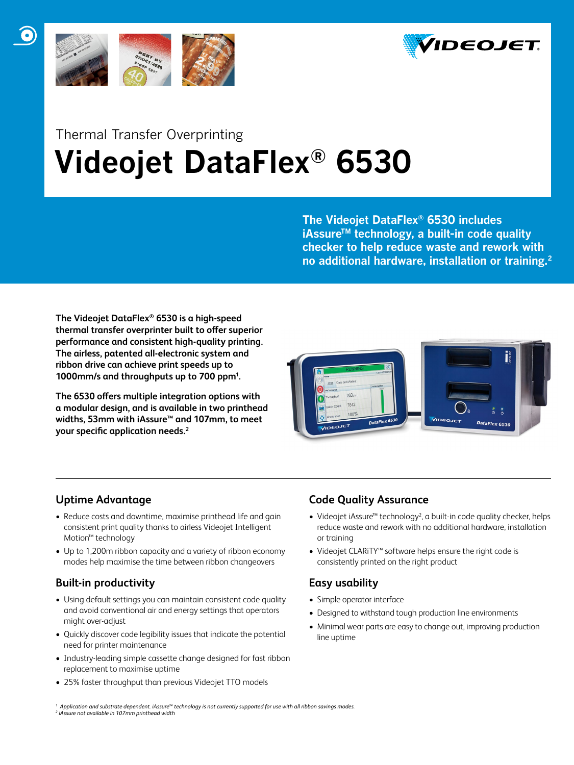



# Thermal Transfer Overprinting  **Videojet DataFlex® 6530**

**The Videojet DataFlex® 6530 includes iAssureTM technology, a built-in code quality checker to help reduce waste and rework with no additional hardware, installation or training.2**

**The Videojet DataFlex® 6530 is a high-speed thermal transfer overprinter built to offer superior performance and consistent high-quality printing. The airless, patented all-electronic system and ribbon drive can achieve print speeds up to 1000mm/s and throughputs up to 700 ppm1 .**

**The 6530 offers multiple integration options with a modular design, and is available in two printhead widths, 53mm with iAssure™ and 107mm, to meet your specific application needs.2**



# **Uptime Advantage**

- Reduce costs and downtime, maximise printhead life and gain consistent print quality thanks to airless Videojet Intelligent Motion™ technology
- Up to 1,200m ribbon capacity and a variety of ribbon economy modes help maximise the time between ribbon changeovers

# **Built-in productivity**

- Using default settings you can maintain consistent code quality and avoid conventional air and energy settings that operators might over-adjust
- Quickly discover code legibility issues that indicate the potential need for printer maintenance
- Industry-leading simple cassette change designed for fast ribbon replacement to maximise uptime
- 25% faster throughput than previous Videojet TTO models

# **Code Quality Assurance**

- Videojet iAssure™ technology<sup>2</sup>, a built-in code quality checker, helps reduce waste and rework with no additional hardware, installation or training
- • Videojet CLARiTY™ software helps ensure the right code is consistently printed on the right product

# **Easy usability**

- • Simple operator interface
- Designed to withstand tough production line environments
- Minimal wear parts are easy to change out, improving production line uptime

*1 Application and substrate dependent. iAssure™ technology is not currently supported for use with all ribbon savings modes. 2 iAssure not available in 107mm printhead width*